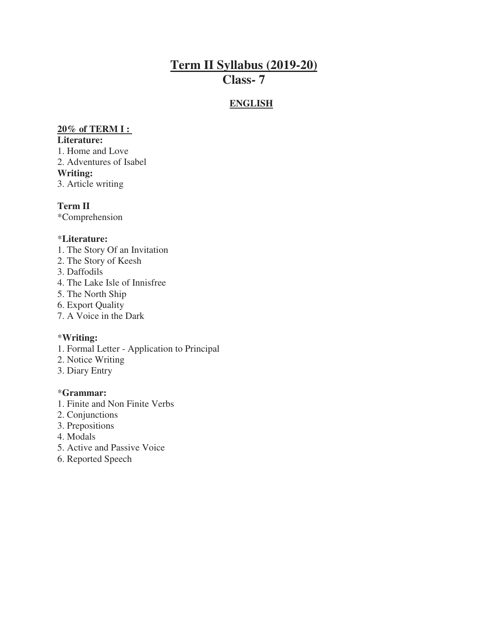# **Term II Syllabus (2019-20) Class- 7**

## **ENGLISH**

#### **20% of TERM I :**

#### **Literature:**

1. Home and Love 2. Adventures of Isabel **Writing:**  3. Article writing

**Term II**  \*Comprehension

#### \***Literature:**

- 1. The Story Of an Invitation
- 2. The Story of Keesh
- 3. Daffodils
- 4. The Lake Isle of Innisfree
- 5. The North Ship
- 6. Export Quality
- 7. A Voice in the Dark

#### \***Writing:**

- 1. Formal Letter Application to Principal
- 2. Notice Writing
- 3. Diary Entry

#### \***Grammar:**

- 1. Finite and Non Finite Verbs
- 2. Conjunctions
- 3. Prepositions
- 4. Modals
- 5. Active and Passive Voice
- 6. Reported Speech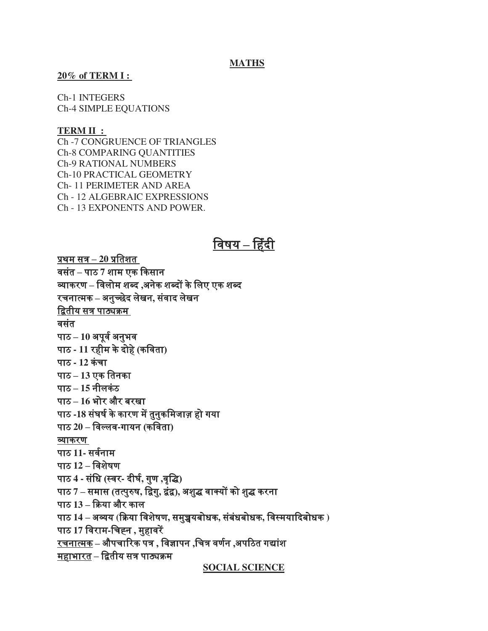#### **MATHS**

#### **20% of TERM I :**

Ch-1 INTEGERS Ch-4 SIMPLE EQUATIONS

#### **TERM II :**

Ch -7 CONGRUENCE OF TRIANGLES Ch-8 COMPARING QUANTITIES Ch-9 RATIONAL NUMBERS Ch-10 PRACTICAL GEOMETRY Ch- 11 PERIMETER AND AREA Ch - 12 ALGEBRAIC EXPRESSIONS Ch - 13 EXPONENTS AND POWER.

# <u>विषय – हिंदी</u>

प्रथम सत्र **– 20** प्रविशि िसििं **–** पाठ **7** शाम एक ककसान व्याकरण **–** विलोम शब्द **,**अनके शब्दों केवलए एक शब्द रचनात्मक **–** अनच्ुछेद लेखन**,** सििं ाद लेखन द्वितीय सत्र पाठ्यक्रम वसंत पाठ – 10 अपूर्व अनुभव पाठ **- 11** र ीम केदो **(**े कवििा**)** पाठ **- 12** किंचा पाठ **– 13** एक विनका पाठ **– 15** नीलकिंठ पाठ **– 16** भोर और बरखा पाठ -18 संघर्ष के कारण में तुनुकमिजाज़ हो गया पाठ **20 –** विल्लि**-**गायन **(**कवििा**)** व्याकरण पाठ 11- सर्वना**म** पाठ **12 –** विशषे ण पाठ **4 -** सविं ि **(**स्िर**-** दीघ**,** व गणु **,**िृवि**)** पाठ **7 –** समास **(**ित्परुुष**,** विग**,** ुिििं **),** अशिु िाक्यों को शिु करना पाठ **13 –** कक्रया और काल पाठ **14 –** अव्यय **(**कक्रया विशषे ण**,** समच्चु यबोिक**,** सबिं ििं बोिक**,** विस्मयाकदबोिक **)** पाठ **17** विराम**-**वचह्न **,** म ुािरें रचनात्मक **–** औपचाररक पत्र **,** विज्ञापन **,**वचत्र िणनव **,**अपरठि गद्ाशिं <u>महाभारत</u> – द्वितीय सत्र पाठ्यक्रम

**SOCIAL SCIENCE**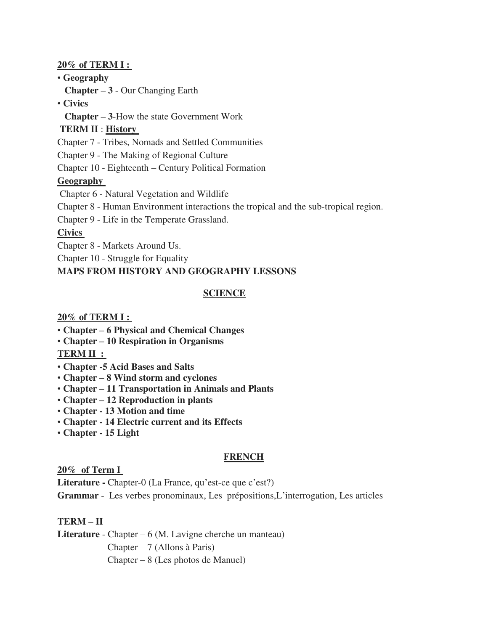#### **20% of TERM I :**

#### • **Geography**

 **Chapter – 3** - Our Changing Earth

### • **Civics**

 **Chapter – 3**-How the state Government Work

### **TERM II** : **History**

Chapter 7 - Tribes, Nomads and Settled Communities

Chapter 9 - The Making of Regional Culture

Chapter 10 - Eighteenth – Century Political Formation

## **Geography**

Chapter 6 - Natural Vegetation and Wildlife

Chapter 8 - Human Environment interactions the tropical and the sub-tropical region.

Chapter 9 - Life in the Temperate Grassland.

## **Civics**

Chapter 8 - Markets Around Us.

Chapter 10 - Struggle for Equality

## **MAPS FROM HISTORY AND GEOGRAPHY LESSONS**

# **SCIENCE**

#### **20% of TERM I :**

- **Chapter – 6 Physical and Chemical Changes**
- **Chapter – 10 Respiration in Organisms**

## **TERM II :**

- **Chapter -5 Acid Bases and Salts**
- **Chapter – 8 Wind storm and cyclones**
- **Chapter – 11 Transportation in Animals and Plants**
- **Chapter – 12 Reproduction in plants**
- **Chapter 13 Motion and time**
- **Chapter 14 Electric current and its Effects**
- **Chapter 15 Light**

## **FRENCH**

#### **20% of Term I**

Literature - Chapter-0 (La France, qu'est-ce que c'est?)

**Grammar** - Les verbes pronominaux, Les prépositions,L'interrogation, Les articles

**TERM – II**

Literature - Chapter – 6 (M. Lavigne cherche un manteau)

Chapter – 7 (Allons à Paris)

Chapter – 8 (Les photos de Manuel)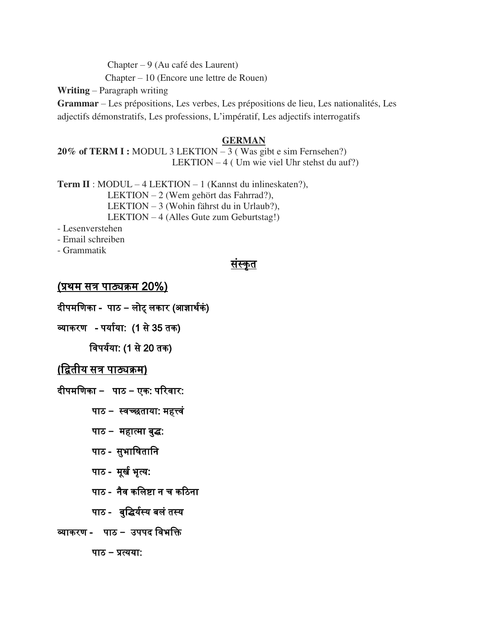Chapter – 9 (Au café des Laurent)

Chapter – 10 (Encore une lettre de Rouen)

**Writing** – Paragraph writing

**Grammar** – Les prépositions, Les verbes, Les prépositions de lieu, Les nationalités, Les adjectifs démonstratifs, Les professions, L'impératif, Les adjectifs interrogatifs

#### **GERMAN**

**20% of TERM I :** MODUL 3 LEKTION – 3 ( Was gibt e sim Fernsehen?) LEKTION – 4 ( Um wie viel Uhr stehst du auf?)

**Term II** : MODUL – 4 LEKTION – 1 (Kannst du inlineskaten?), LEKTION – 2 (Wem gehört das Fahrrad?), LEKTION – 3 (Wohin fährst du in Urlaub?), LEKTION – 4 (Alles Gute zum Geburtstag!)

- Lesenverstehen

- Email schreiben

- Grammatik

# संस्कृत

# (प्रथम सत्र पाठ्यक्रम 20%)

दीपमणिका - पाठ – लोट् लकार (आज्ञार्थकं)

व्याकरण - पर्याया: (1 से 35 तक)

विपर्यया: (1 से 20 तक)

# **(**वििीय सत्र पाठ्यक्रम**)**

दीपमवणका **–** पाठ **–** एक: पररिार:

पाठ – स्वच्छताया: महत्त्वं

पाठ - महात्मा बुद्ध:

पाठ - सुभाषितानि

पाठ - मूर्ख भूत्य:

पाठ - नैव कलिष्टा न च कठिना

पाठ - बुद्धिर्यस्य बलं तस्य

# व्याकरण - पाठ **–** उपपद विभवि

पाठ **–** प्रत्यया: